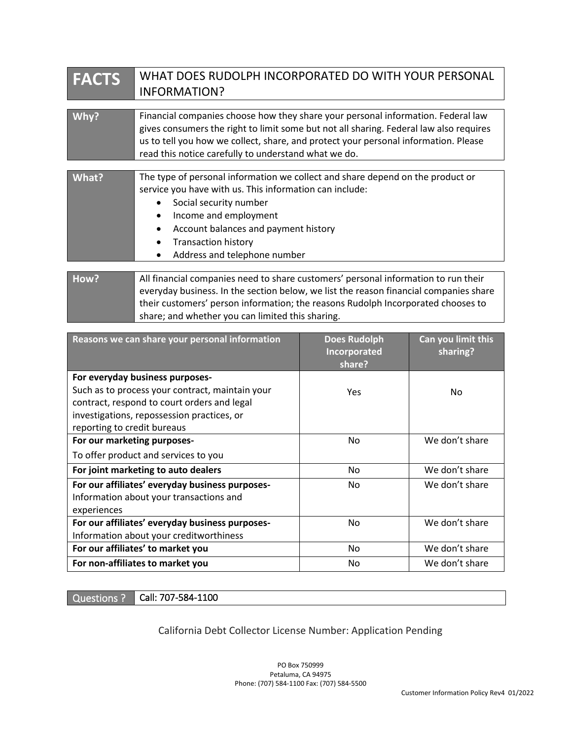| <b>FACTS</b> | WHAT DOES RUDOLPH INCORPORATED DO WITH YOUR PERSONAL                                                                                                                                                                                                                                                                                                                |  |  |
|--------------|---------------------------------------------------------------------------------------------------------------------------------------------------------------------------------------------------------------------------------------------------------------------------------------------------------------------------------------------------------------------|--|--|
|              | <b>INFORMATION?</b>                                                                                                                                                                                                                                                                                                                                                 |  |  |
|              |                                                                                                                                                                                                                                                                                                                                                                     |  |  |
| Why?         | Financial companies choose how they share your personal information. Federal law<br>gives consumers the right to limit some but not all sharing. Federal law also requires<br>us to tell you how we collect, share, and protect your personal information. Please<br>read this notice carefully to understand what we do.                                           |  |  |
|              |                                                                                                                                                                                                                                                                                                                                                                     |  |  |
| <b>What?</b> | The type of personal information we collect and share depend on the product or<br>service you have with us. This information can include:<br>Social security number<br>$\bullet$<br>Income and employment<br>$\bullet$<br>Account balances and payment history<br>$\bullet$<br><b>Transaction history</b><br>$\bullet$<br>Address and telephone number<br>$\bullet$ |  |  |
| How?         | All financial companies need to share customers' personal information to run their<br>everyday business. In the section below, we list the reason financial companies share<br>their customers' person information; the reasons Rudolph Incorporated chooses to                                                                                                     |  |  |

| share; and whether you can limited this sharing.                                                                                                                                                               |                                               |                                |
|----------------------------------------------------------------------------------------------------------------------------------------------------------------------------------------------------------------|-----------------------------------------------|--------------------------------|
| Reasons we can share your personal information                                                                                                                                                                 | <b>Does Rudolph</b><br>Incorporated<br>share? | Can you limit this<br>sharing? |
| For everyday business purposes-<br>Such as to process your contract, maintain your<br>contract, respond to court orders and legal<br>investigations, repossession practices, or<br>reporting to credit bureaus | Yes                                           | No.                            |
| For our marketing purposes-<br>To offer product and services to you                                                                                                                                            | No                                            | We don't share                 |
| For joint marketing to auto dealers                                                                                                                                                                            | No                                            | We don't share                 |
| For our affiliates' everyday business purposes-<br>Information about your transactions and<br>experiences                                                                                                      | No.                                           | We don't share                 |
| For our affiliates' everyday business purposes-<br>Information about your creditworthiness                                                                                                                     | Nο                                            | We don't share                 |
| For our affiliates' to market you                                                                                                                                                                              | No                                            | We don't share                 |
| For non-affiliates to market you                                                                                                                                                                               | No                                            | We don't share                 |

Questions ? Call: 707-584-1100

California Debt Collector License Number: Application Pending

PO Box 750999 Petaluma, CA 94975 Phone: (707) 584-1100 Fax: (707) 584-5500